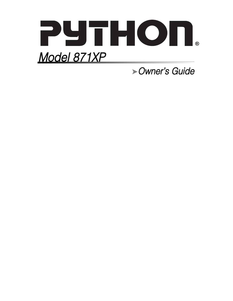

➤Owner's Guide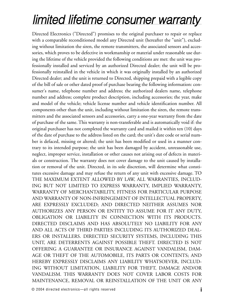# limited lifetime consumer warranty

Directed Electronics ("Directed") promises to the original purchaser to repair or replace with a comparable reconditioned model any Directed unit (hereafter the "unit"), excluding without limitation the siren, the remote transmitters, the associated sensors and accessories, which proves to be defective in workmanship or material under reasonable use during the lifetime of the vehicle provided the following conditions are met: the unit was professionally installed and serviced by an authorized Directed dealer; the unit will be professionally reinstalled in the vehicle in which it was originally installed by an authorized Directed dealer; and the unit is returned to Directed, shipping prepaid with a legible copy of the bill of sale or other dated proof of purchase bearing the following information: consumer's name, telephone number and address; the authorized dealers name, telephone number and address; complete product description, including accessories; the year, make and model of the vehicle; vehicle license number and vehicle identification number. All components other than the unit, including without limitation the siren, the remote transmitters and the associated sensors and accessories, carry a one-year warranty from the date of purchase of the same. This warranty is non-transferable and is automatically void if: the original purchaser has not completed the warranty card and mailed it within ten (10) days of the date of purchase to the address listed on the card; the unit's date code or serial number is defaced, missing or altered; the unit has been modified or used in a manner contrary to its intended purpose; the unit has been damaged by accident, unreasonable use, neglect, improper service, installation or other causes not arising out of defects in materials or construction. The warranty does not cover damage to the unit caused by installation or removal of the unit. Directed, in its sole discretion, will determine what constitutes excessive damage and may refuse the return of any unit with excessive damage. TO THE MAXIMUM EXTENT ALLOWED BY LAW, ALL WARRANTIES, INCLUD-ING BUT NOT LIMITED TO EXPRESS WARRANTY, IMPLIED WARRANTY, WARRANTY OF MERCHANTABILITY, FITNESS FOR PARTICULAR PURPOSE AND WARRANTY OF NON-INFRINGEMENT OF INTELLECTUAL PROPERTY, ARE EXPRESSLY EXCLUDED; AND DIRECTED NEITHER ASSUMES NOR AUTHORIZES ANY PERSON OR ENTITY TO ASSUME FOR IT ANY DUTY, OBLIGATION OR LIABILITY IN CONNECTION WITH ITS PRODUCTS. DIRECTED DISCLAIMS AND HAS ABSOLUTELY NO LIABILITY FOR ANY AND ALL ACTS OF THIRD PARTIES INCLUDING ITS AUTHORIZED DEAL-ERS OR INSTALLERS. DIRECTED SECURITY SYSTEMS, INCLUDING THIS UNIT, ARE DETERRENTS AGAINST POSSIBLE THEFT. DIRECTED IS NOT OFFERING A GUARANTEE OR INSURANCE AGAINST VANDALISM, DAM-AGE OR THEFT OF THE AUTOMOBILE, ITS PARTS OR CONTENTS; AND HEREBY EXPRESSLY DISCLAIMS ANY LIABILITY WHATSOEVER, INCLUD-ING WITHOUT LIMITATION, LIABILITY FOR THEFT, DAMAGE AND/OR VANDALISM. THIS WARRANTY DOES NOT COVER LABOR COSTS FOR MAINTENANCE, REMOVAL OR REINSTALLATION OF THE UNIT OR ANY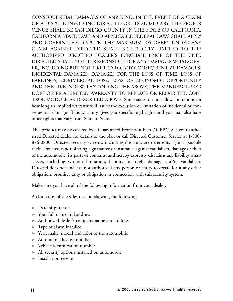CONSEQUENTIAL DAMAGES OF ANY KIND. IN THE EVENT OF A CLAIM OR A DISPUTE INVOLVING DIRECTED OR ITS SUBSIDIARY, THE PROPER VENUE SHALL BE SAN DIEGO COUNTY IN THE STATE OF CALIFORNIA. CALIFORNIA STATE LAWS AND APPLICABLE FEDERAL LAWS SHALL APPLY AND GOVERN THE DISPUTE. THE MAXIMUM RECOVERY UNDER ANY CLAIM AGAINST DIRECTED SHALL BE STRICTLY LIMITED TO THE AUTHORIZED DIRECTED DEALER'S PURCHASE PRICE OF THE UNIT. DIRECTED SHALL NOT BE RESPONSIBLE FOR ANY DAMAGES WHATSOEV-ER, INCLUDING BUT NOT LIMITED TO, ANY CONSEQUENTIAL DAMAGES, INCIDENTAL DAMAGES, DAMAGES FOR THE LOSS OF TIME, LOSS OF EARNINGS, COMMERCIAL LOSS, LOSS OF ECONOMIC OPPORTUNITY AND THE LIKE. NOTWITHSTANDING THE ABOVE, THE MANUFACTURER DOES OFFER A LIMITED WARRANTY TO REPLACE OR REPAIR THE CON-TROL MODULE AS DESCRIBED ABOVE. Some states do not allow limitations on how long an implied warranty will last or the exclusion or limitation of incidental or consequential damages. This warranty gives you specific legal rights and you may also have other rights that vary from State to State.

This product may be covered by a Guaranteed Protection Plan ("GPP"). See your authorized Directed dealer for details of the plan or call Directed Customer Service at 1-800- 876-0800. Directed security systems, including this unit, are deterrents against possible theft. Directed is not offering a guarantee or insurance against vandalism, damage or theft of the automobile, its parts or contents; and hereby expressly disclaims any liability whatsoever, including without limitation, liability for theft, damage and/or vandalism. Directed does not and has not authorized any person or entity to create for it any other obligation, promise, duty or obligation in connection with this security system.

Make sure you have all of the following information from your dealer:

A clear copy of the sales receipt, showing the following:

- ➤ Date of purchase
- ➤ Your full name and address
- ➤ Authorized dealer's company name and address
- ➤ Type of alarm installed
- ➤ Year, make, model and color of the automobile
- ➤ Automobile license number
- ➤ Vehicle identification number
- ➤ All security options installed on automobile
- ➤ Installation receipts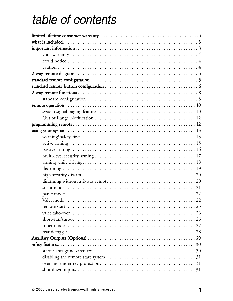# table of contents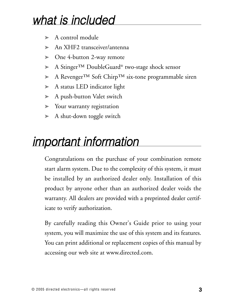# what is included

- ➤ A control module
- ➤ An XHF2 transceiver/antenna
- ➤ One 4-button 2-way remote
- ➤ A Stinger™ DoubleGuard® two-stage shock sensor
- ➤ A Revenger™ Soft Chirp™ six-tone programmable siren
- ➤ A status LED indicator light
- ➤ A push-button Valet switch
- ➤ Your warranty registration
- ➤ A shut-down toggle switch

# important information

Congratulations on the purchase of your combination remote start alarm system. Due to the complexity of this system, it must be installed by an authorized dealer only. Installation of this product by anyone other than an authorized dealer voids the warranty. All dealers are provided with a preprinted dealer certificate to verify authorization.

By carefully reading this Owner's Guide prior to using your system, you will maximize the use of this system and its features. You can print additional or replacement copies of this manual by accessing our web site at www.directed.com.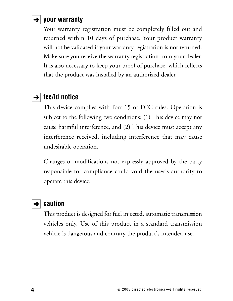# $\rightarrow$  | your warranty

Your warranty registration must be completely filled out and returned within 10 days of purchase. Your product warranty will not be validated if your warranty registration is not returned. Make sure you receive the warranty registration from your dealer. It is also necessary to keep your proof of purchase, which reflects that the product was installed by an authorized dealer.

### $\rightarrow$  | fcc/id notice

This device complies with Part 15 of FCC rules. Operation is subject to the following two conditions: (1) This device may not cause harmful interference, and (2) This device must accept any interference received, including interference that may cause undesirable operation.

Changes or modifications not expressly approved by the party responsible for compliance could void the user's authority to operate this device.

### **→** caution

This product is designed for fuel injected, automatic transmission vehicles only. Use of this product in a standard transmission vehicle is dangerous and contrary the product's intended use.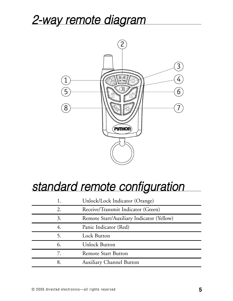# 2-way remote diagram



# standard remote configuration

|    | Unlock/Lock Indicator (Orange)            |
|----|-------------------------------------------|
| 2. | Receive/Transmit Indicator (Green)        |
| 3. | Remote Start/Auxiliary Indicator (Yellow) |
| 4. | Panic Indicator (Red)                     |
| 5. | <b>Lock Button</b>                        |
| 6. | <b>Unlock Button</b>                      |
| 7. | <b>Remote Start Button</b>                |
| 8. | <b>Auxiliary Channel Button</b>           |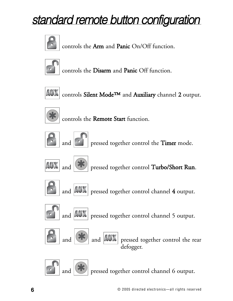# standard remote button configuration



controls the Arm and Panic On/Off function.



controls the Disarm and Panic Off function.



controls Silent Mode™ and Auxiliary channel 2 output.



controls the Remote Start function.



pressed together control the Timer mode.







and  $|AN|$  pressed together control channel 4 output.



and  $\|AUX\|$  pressed together control channel 5 output.





and  $\left|\frac{\partial}{\partial x}\right|$  and  $\left|\frac{\partial}{\partial x}\right|$  pressed together control the rear defogger.

**42** pressed together control channel 6 output.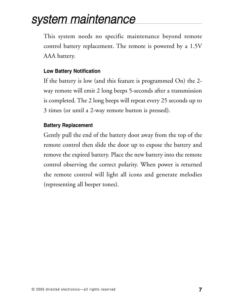# system maintenance

This system needs no specific maintenance beyond remote control battery replacement. The remote is powered by a 1.5V AAA battery.

#### **Low Battery Notification**

If the battery is low (and this feature is programmed On) the 2 way remote will emit 2 long beeps 5-seconds after a transmission is completed. The 2 long beeps will repeat every 25 seconds up to 3 times (or until a 2-way remote button is pressed).

#### **Battery Replacement**

Gently pull the end of the battery door away from the top of the remote control then slide the door up to expose the battery and remove the expired battery. Place the new battery into the remote control observing the correct polarity. When power is returned the remote control will light all icons and generate melodies (representing all beeper tones).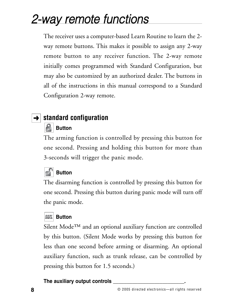# 2-way remote functions

The receiver uses a computer-based Learn Routine to learn the 2 way remote buttons. This makes it possible to assign any 2-way remote button to any receiver function. The 2-way remote initially comes programmed with Standard Configuration, but may also be customized by an authorized dealer. The buttons in all of the instructions in this manual correspond to a Standard Configuration 2-way remote.

# **→ standard configuration**

#### R **Button**

The arming function is controlled by pressing this button for one second. Pressing and holding this button for more than 3-seconds will trigger the panic mode.

# **Button**

The disarming function is controlled by pressing this button for one second. Pressing this button during panic mode will turn off the panic mode.

### **AUX** Button

Silent Mode<sup>™</sup> and an optional auxiliary function are controlled by this button. (Silent Mode works by pressing this button for less than one second before arming or disarming. An optional auxiliary function, such as trunk release, can be controlled by pressing this button for 1.5 seconds.)

#### **The auxiliary output controls \_\_\_\_\_\_\_\_\_\_\_\_\_\_\_\_\_\_\_\_\_\_\_\_\_\_.**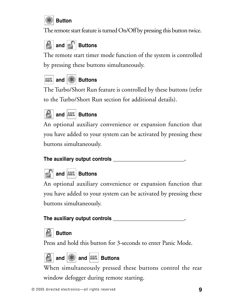

The remote start feature is turned On/Off by pressing this button twice.

# **and <b>Buttons**

The remote start timer mode function of the system is controlled by pressing these buttons simultaneously.



The Turbo/Short Run feature is controlled by these buttons (refer to the Turbo/Short Run section for additional details).



### **and AUX Buttons**

An optional auxiliary convenience or expansion function that you have added to your system can be activated by pressing these buttons simultaneously.

#### **The auxiliary output controls \_\_\_\_\_\_\_\_\_\_\_\_\_\_\_\_\_\_\_\_\_\_\_\_\_\_.**

# **and AUX** Buttons

An optional auxiliary convenience or expansion function that you have added to your system can be activated by pressing these buttons simultaneously.

#### **The auxiliary output controls \_\_\_\_\_\_\_\_\_\_\_\_\_\_\_\_\_\_\_\_\_\_\_\_\_\_.**

## **Button**

Press and hold this button for 3-seconds to enter Panic Mode.



### **and**  $\left|\frac{1}{10}\right|$  **and**  $\left|\frac{1}{10}\right|$  **Buttons**

When simultaneously pressed these buttons control the rear window defogger during remote starting.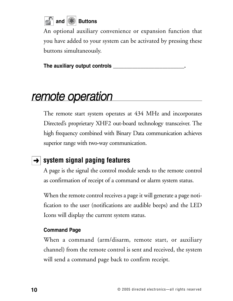

An optional auxiliary convenience or expansion function that you have added to your system can be activated by pressing these buttons simultaneously.

**The auxiliary output controls \_\_\_\_\_\_\_\_\_\_\_\_\_\_\_\_\_\_\_\_\_\_\_\_\_\_.**

# remote operation

The remote start system operates at 434 MHz and incorporates Directed's proprietary XHF2 out-board technology transceiver. The high frequency combined with Binary Data communication achieves superior range with two-way communication.

# **→ System signal paging features**

A page is the signal the control module sends to the remote control as confirmation of receipt of a command or alarm system status.

When the remote control receives a page it will generate a page notification to the user (notifications are audible beeps) and the LED Icons will display the current system status.

#### **Command Page**

When a command (arm/disarm, remote start, or auxiliary channel) from the remote control is sent and received, the system will send a command page back to confirm receipt.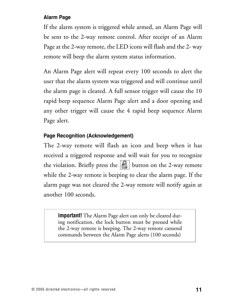#### **Alarm Page**

If the alarm system is triggered while armed, an Alarm Page will be sent to the 2-way remote control. After receipt of an Alarm Page at the 2-way remote, the LED icons will flash and the 2- way remote will beep the alarm system status information.

An Alarm Page alert will repeat every 100 seconds to alert the user that the alarm system was triggered and will continue until the alarm page is cleared. A full sensor trigger will cause the 10 rapid beep sequence Alarm Page alert and a door opening and any other trigger will cause the 4 rapid beep sequence Alarm Page alert.

#### **Page Recognition (Acknowledgement)**

The 2-way remote will flash an icon and beep when it has received a triggered response and will wait for you to recognize the violation. Briefly press the  $\left| \mathbf{f} \right|$  button on the 2-way remote while the 2-way remote is beeping to clear the alarm page. If the alarm page was not cleared the 2-way remote will notify again at another 100 seconds.

**important!** The Alarm Page alert can only be cleared during notification, the lock button must be pressed while the 2-way remote is beeping. The 2-way remote cansend commands between the Alarm Page alerts (100 seconds)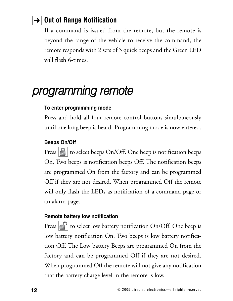# **→ Out of Range Notification**

If a command is issued from the remote, but the remote is beyond the range of the vehicle to receive the command, the remote responds with 2 sets of 3 quick beeps and the Green LED will flash 6-times.

# programming remote

#### **To enter programming mode**

Press and hold all four remote control buttons simultaneously until one long beep is heard. Programming mode is now entered.

#### **Beeps On/Off**

Press  $|\mathbf{P}|$  to select beeps On/Off. One beep is notification beeps On, Two beeps is notification beeps Off. The notification beeps are programmed On from the factory and can be programmed Off if they are not desired. When programmed Off the remote will only flash the LEDs as notification of a command page or an alarm page.

#### **Remote battery low notification**

Press  $\left|\cdot\right|$  to select low battery notification On/Off. One beep is low battery notification On. Two beeps is low battery notification Off. The Low battery Beeps are programmed On from the factory and can be programmed Off if they are not desired. When programmed Off the remote will not give any notification that the battery charge level in the remote is low.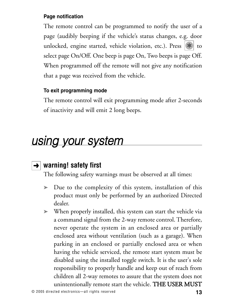#### **Page notification**

The remote control can be programmed to notify the user of a page (audibly beeping if the vehicle's status changes, e.g. door unlocked, engine started, vehicle violation, etc.). Press  $||\cdot||$  to select page On/Off. One beep is page On, Two beeps is page Off. When programmed off the remote will not give any notification that a page was received from the vehicle.

#### **To exit programming mode**

The remote control will exit programming mode after 2-seconds of inactivity and will emit 2 long beeps.

# using your system

# **warning! safety first** ➜

The following safety warnings must be observed at all times:

- ➤ Due to the complexity of this system, installation of this product must only be performed by an authorized Directed dealer.
- ➤ When properly installed, this system can start the vehicle via a command signal from the 2-way remote control. Therefore, never operate the system in an enclosed area or partially enclosed area without ventilation (such as a garage). When parking in an enclosed or partially enclosed area or when having the vehicle serviced, the remote start system must be disabled using the installed toggle switch. It is the user's sole responsibility to properly handle and keep out of reach from children all 2-way remotes to assure that the system does not unintentionally remote start the vehicle. THE USER MUST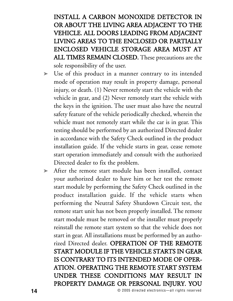INSTALL A CARBON MONOXIDE DETECTOR IN OR ABOUT THE LIVING AREA ADJACENT TO THE VEHICLE. ALL DOORS LEADING FROM ADJACENT LIVING AREAS TO THE ENCLOSED OR PARTIALLY ENCLOSED VEHICLE STORAGE AREA MUST AT ALL TIMES REMAIN CLOSED. These precautions are the sole responsibility of the user.

- ➤ Use of this product in a manner contrary to its intended mode of operation may result in property damage, personal injury, or death. (1) Never remotely start the vehicle with the vehicle in gear, and (2) Never remotely start the vehicle with the keys in the ignition. The user must also have the neutral safety feature of the vehicle periodically checked, wherein the vehicle must not remotely start while the car is in gear. This testing should be performed by an authorized Directed dealer in accordance with the Safety Check outlined in the product installation guide. If the vehicle starts in gear, cease remote start operation immediately and consult with the authorized Directed dealer to fix the problem.
- ➤ After the remote start module has been installed, contact your authorized dealer to have him or her test the remote start module by performing the Safety Check outlined in the product installation guide. If the vehicle starts when performing the Neutral Safety Shutdown Circuit test, the remote start unit has not been properly installed. The remote start module must be removed or the installer must properly reinstall the remote start system so that the vehicle does not start in gear. All installations must be performed by an authorized Directed dealer. OPERATION OF THE REMOTE START MODULE IF THE VEHICLE STARTS IN GEAR IS CONTRARY TO ITS INTENDED MODE OF OPER-ATION. OPERATING THE REMOTE START SYSTEM UNDER THESE CONDITIONS MAY RESULT IN PROPERTY DAMAGE OR PERSONAL INJURY. YOU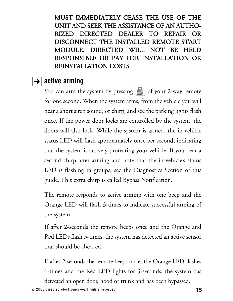MUST IMMEDIATELY CEASE THE USE OF THE UNIT AND SEEK THE ASSISTANCE OF AN AUTHO-RIZED DIRECTED DEALER TO REPAIR OR DISCONNECT THE INSTALLED REMOTE START MODULE. DIRECTED WILL NOT BE HELD RESPONSIBLE OR PAY FOR INSTALLATION OR REINSTALLATION COSTS.

### $\rightarrow$  active arming

You can arm the system by pressing  $\left| \mathcal{F} \right|$  of your 2-way remote for one second. When the system arms, from the vehicle you will hear a short siren sound, or chirp, and see the parking lights flash once. If the power door locks are controlled by the system, the doors will also lock. While the system is armed, the in-vehicle status LED will flash approximately once per second, indicating that the system is actively protecting your vehicle. If you hear a second chirp after arming and note that the in-vehicle's status LED is flashing in groups, see the Diagnostics Section of this guide. This extra chirp is called Bypass Notification.

The remote responds to active arming with one beep and the Orange LED will flash 3-times to indicate successful arming of the system.

If after 2-seconds the remote beeps once and the Orange and Red LEDs flash 3-times, the system has detected an active sensor that should be checked.

If after 2-seconds the remote beeps once, the Orange LED flashes 6-times and the Red LED lights for 3-seconds, the system has detected an open door, hood or trunk and has been bypassed.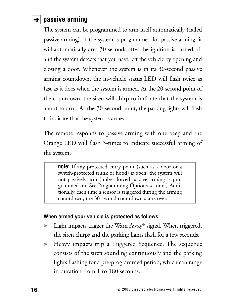# $\rightarrow$  passive arming

The system can be programmed to arm itself automatically (called passive arming). If the system is programmed for passive arming, it will automatically arm 30 seconds after the ignition is turned off and the system detects that you have left the vehicle by opening and closing a door. Whenever the system is in its 30-second passive arming countdown, the in-vehicle status LED will flash twice as fast as it does when the system is armed. At the 20-second point of the countdown, the siren will chirp to indicate that the system is about to arm. At the 30-second point, the parking lights will flash to indicate that the system is armed.

The remote responds to passive arming with one beep and the Orange LED will flash 3-times to indicate successful arming of the system.

**note:** If any protected entry point (such as a door or a switch-protected trunk or hood) is open, the system will not passively arm (unless forced passive arming is programmed on. See Programming Options section.) Additionally, each time a sensor is triggered during the arming countdown, the 30-second countdown starts over.

#### **When armed your vehicle is protected as follows:**

- ➤ Light impacts trigger the Warn Away® signal. When triggered, the siren chirps and the parking lights flash for a few seconds.
- ➤ Heavy impacts trip a Triggered Sequence. The sequence consists of the siren sounding continuously and the parking lights flashing for a pre-programmed period, which can range in duration from 1 to 180 seconds.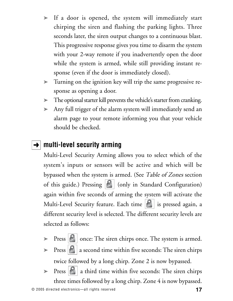- ➤ If a door is opened, the system will immediately start chirping the siren and flashing the parking lights. Three seconds later, the siren output changes to a continuous blast. This progressive response gives you time to disarm the system with your 2-way remote if you inadvertently open the door while the system is armed, while still providing instant response (even if the door is immediately closed).
- ➤ Turning on the ignition key will trip the same progressive response as opening a door.
- ➤ The optional starter kill prevents the vehicle's starter from cranking.
- ➤ Any full trigger of the alarm system will immediately send an alarm page to your remote informing you that your vehicle should be checked.

# **→ | multi-level security arming**

Multi-Level Security Arming allows you to select which of the system's inputs or sensors will be active and which will be bypassed when the system is armed. (See Table of Zones section of this guide.) Pressing  $\left|\mathbf{c}\right|$  (only in Standard Configuration) again within five seconds of arming the system will activate the Multi-Level Security feature. Each time  $\left|\frac{f}{f}\right|$  is pressed again, a different security level is selected. The different security levels are selected as follows:

- $\triangleright$  Press  $\lvert \cdot \rvert$  once: The siren chirps once. The system is armed.
- $\triangleright$  Press  $\lvert \cdot \rvert$  a second time within five seconds: The siren chirps twice followed by a long chirp. Zone 2 is now bypassed.
- $\triangleright$  Press  $|\cdot|$  a third time within five seconds: The siren chirps three times followed by a long chirp. Zone 4 is now bypassed.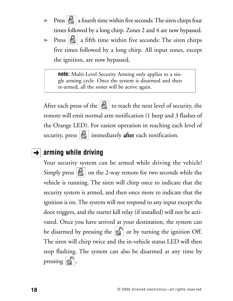- $\triangleright$  Press  $\left|\mathbf{G}\right|$  a fourth time within five seconds: The siren chirps four times followed by a long chirp. Zones 2 and 4 are now bypassed.
- $\triangleright$  Press  $|\cdot|$  a fifth time within five seconds: The siren chirps five times followed by a long chirp. All input zones, except the ignition, are now bypassed.

**note:** Multi-Level Security Arming only applies to a single arming cycle. Once the system is disarmed and then re-armed, all the zones will be active again.

After each press of the  $\|\cdot\|$  to reach the next level of security, the remote will emit normal arm notification (1 beep and 3 flashes of the Orange LED). For easiest operation in reaching each level of security, press  $\left| \boldsymbol{\cdot} \right|$  immediately after each notification.

## **→ arming while driving**

Your security system can be armed while driving the vehicle! Simply press  $\left| \boldsymbol{\epsilon} \right|$  on the 2-way remote for two seconds while the vehicle is running. The siren will chirp once to indicate that the security system is armed, and then once more to indicate that the ignition is on. The system will not respond to any input except the door triggers, and the starter kill relay (if installed) will not be activated. Once you have arrived at your destination, the system can be disarmed by pressing the  $\left| \cdot \right|$  or by turning the ignition Off. The siren will chirp twice and the in-vehicle status LED will then stop flashing. The system can also be disarmed at any time by pressing  $\lceil \cdot \rceil$ .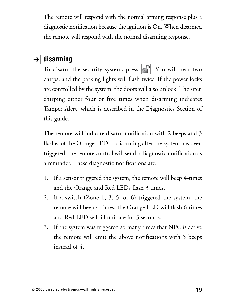The remote will respond with the normal arming response plus a diagnostic notification because the ignition is On. When disarmed the remote will respond with the normal disarming response.

### $\rightarrow$  disarming

To disarm the security system, press  $\left|\cdot\right|$ . You will hear two chirps, and the parking lights will flash twice. If the power locks are controlled by the system, the doors will also unlock. The siren chirping either four or five times when disarming indicates Tamper Alert, which is described in the Diagnostics Section of this guide.

The remote will indicate disarm notification with 2 beeps and 3 flashes of the Orange LED. If disarming after the system has been triggered, the remote control will send a diagnostic notification as a reminder. These diagnostic notifications are:

- 1. If a sensor triggered the system, the remote will beep 4-times and the Orange and Red LEDs flash 3 times.
- 2. If a switch (Zone 1, 3, 5, or 6) triggered the system, the remote will beep 4-times, the Orange LED will flash 6-times and Red LED will illuminate for 3 seconds.
- 3. If the system was triggered so many times that NPC is active the remote will emit the above notifications with 5 beeps instead of 4.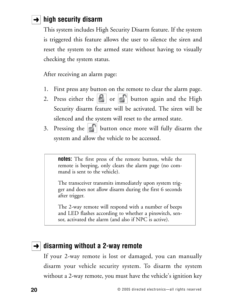# $\rightarrow$  high security disarm

This system includes High Security Disarm feature. If the system is triggered this feature allows the user to silence the siren and reset the system to the armed state without having to visually checking the system status.

After receiving an alarm page:

- 1. First press any button on the remote to clear the alarm page.
- 2. Press either the  $\left| \mathbf{B} \right|$  or  $\left| \mathbf{C} \right|$  button again and the High Security disarm feature will be activated. The siren will be silenced and the system will reset to the armed state.
- 3. Pressing the  $\lVert \cdot \rVert$  button once more will fully disarm the system and allow the vehicle to be accessed.

**notes:** The first press of the remote button, while the remote is beeping, only clears the alarm page (no command is sent to the vehicle).

The transceiver transmits immediately upon system trigger and does not allow disarm during the first 6 seconds after trigger.

The 2-way remote will respond with a number of beeps and LED flashes according to whether a pinswitch, sensor, activated the alarm (and also if NPC is active).

## **→ disarming without a 2-way remote**

If your 2-way remote is lost or damaged, you can manually disarm your vehicle security system. To disarm the system without a 2-way remote, you must have the vehicle's ignition key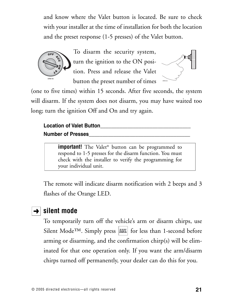and know where the Valet button is located. Be sure to check with your installer at the time of installation for both the location and the preset response (1-5 presses) of the Valet button.



To disarm the security system, turn the ignition to the ON position. Press and release the Valet button the preset number of times



(one to five times) within 15 seconds. After five seconds, the system will disarm. If the system does not disarm, you may have waited too long; turn the ignition Off and On and try again.

### Location of Valet Button **Number of Presses\_\_\_\_\_\_\_\_\_\_\_\_\_\_\_\_\_\_\_\_\_\_\_\_\_\_\_\_\_\_\_\_\_\_\_\_\_**

**important!** The Valet<sup>®</sup> button can be programmed to respond to 1-5 presses for the disarm function. You must check with the installer to verify the programming for your individual unit.

The remote will indicate disarm notification with 2 beeps and 3 flashes of the Orange LED.

# $\rightarrow$  silent mode

To temporarily turn off the vehicle's arm or disarm chirps, use Silent Mode<sup>TM</sup>. Simply press  $\vert$ AUX $\vert$  for less than 1-second before arming or disarming, and the confirmation chirp(s) will be eliminated for that one operation only. If you want the arm/disarm chirps turned off permanently, your dealer can do this for you.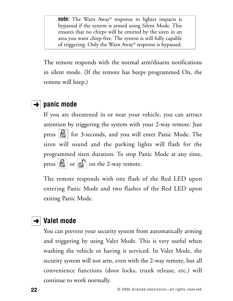**note:** The Warn Away® response to lighter impacts is bypassed if the system is armed using Silent Mode. This ensures that no chirps will be emitted by the siren in an area you want chirp-free. The system is still fully capable of triggering. Only the Warn Away® response is bypassed.

The remote responds with the normal arm/disarm notifications in silent mode. (If the remote has beeps programmed On, the remote will beep.)

# $\rightarrow$  panic mode

If you are threatened in or near your vehicle, you can attract attention by triggering the system with your 2-way remote. Just press  $\left|\mathbf{F}\right|$  for 3-seconds, and you will enter Panic Mode. The siren will sound and the parking lights will flash for the programmed siren duration. To stop Panic Mode at any time, press  $\boxed{\color{blue} \bullet}$  or  $\boxed{\color{blue} \bullet}$  on the 2-way remote.

The remote responds with one flash of the Red LED upon entering Panic Mode and two flashes of the Red LED upon exiting Panic Mode.

## **→ Valet mode**

You can prevent your security system from automatically arming and triggering by using Valet Mode. This is very useful when washing the vehicle or having it serviced. In Valet Mode, the security system will not arm, even with the 2-way remote, but all convenience functions (door locks, trunk release, etc.) will continue to work normally.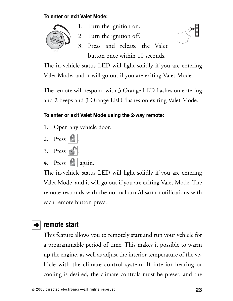#### **To enter or exit Valet Mode:**



- 1. Turn the ignition on.
- 2. Turn the ignition off.
- 3. Press and release the Valet button once within 10 seconds.



The in-vehicle status LED will light solidly if you are entering Valet Mode, and it will go out if you are exiting Valet Mode.

The remote will respond with 3 Orange LED flashes on entering and 2 beeps and 3 Orange LED flashes on exiting Valet Mode.

### **To enter or exit Valet Mode using the 2-way remote:**

- 1. Open any vehicle door.
- 2. Press  $\left| \cdot \right|$
- 3. Press .
- 4. Press  $|\cdot|$  again.

The in-vehicle status LED will light solidly if you are entering Valet Mode, and it will go out if you are exiting Valet Mode. The remote responds with the normal arm/disarm notifications with each remote button press.

# $\rightarrow$  remote start

This feature allows you to remotely start and run your vehicle for a programmable period of time. This makes it possible to warm up the engine, as well as adjust the interior temperature of the vehicle with the climate control system. If interior heating or cooling is desired, the climate controls must be preset, and the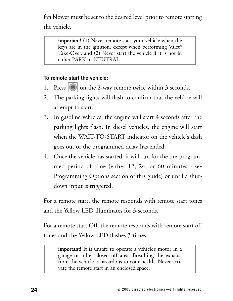fan blower must be set to the desired level prior to remote starting the vehicle.

important! (1) Never remote start your vehicle when the keys are in the ignition, except when performing Valet® Take-Over, and (2) Never start the vehicle if it is not in either PARK or NEUTRAL.

#### **To remote start the vehicle:**

- 1. Press  $|\mathbf{\ast}|$  on the 2-way remote twice within 3 seconds.
- 2. The parking lights will flash to confirm that the vehicle will attempt to start.
- 3. In gasoline vehicles, the engine will start 4 seconds after the parking lights flash. In diesel vehicles, the engine will start when the WAIT-TO-START indicator on the vehicle's dash goes out or the programmed delay has ended.
- 4. Once the vehicle has started, it will run for the pre-programmed period of time (either 12, 24, or 60 minutes - see Programming Options section of this guide) or until a shutdown input is triggered.

For a remote start, the remote responds with remote start tones and the Yellow LED illuminates for 3-seconds.

For a remote start Off, the remote responds with remote start off tones and the Yellow LED flashes 3-times.

important! It is unsafe to operate a vehicle's motor in a garage or other closed off area. Breathing the exhaust from the vehicle is hazardous to your health. Never activate the remote start in an enclosed space.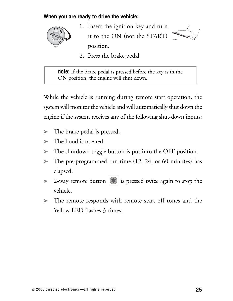#### **When you are ready to drive the vehicle:**



1. Insert the ignition key and turn it to the ON (not the START) position.



2. Press the brake pedal.

**note:** If the brake pedal is pressed before the key is in the ON position, the engine will shut down.

While the vehicle is running during remote start operation, the system will monitor the vehicle and will automatically shut down the engine if the system receives any of the following shut-down inputs:

- ➤ The brake pedal is pressed.
- $\blacktriangleright$  The hood is opened.
- ➤ The shutdown toggle button is put into the OFF position.
- $\blacktriangleright$  The pre-programmed run time (12, 24, or 60 minutes) has elapsed.
- $>$  2-way remote button  $\left|\mathbf{\ast}\right|$  is pressed twice again to stop the vehicle.
- ➤ The remote responds with remote start off tones and the Yellow LED flashes 3-times.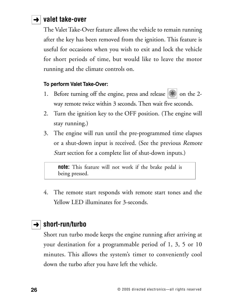### $\rightarrow$  valet take-over

The Valet Take-Over feature allows the vehicle to remain running after the key has been removed from the ignition. This feature is useful for occasions when you wish to exit and lock the vehicle for short periods of time, but would like to leave the motor running and the climate controls on.

#### **To perform Valet Take-Over:**

- 1. Before turning off the engine, press and release  $||\cdot||$  on the 2way remote twice within 3 seconds. Then wait five seconds.
- 2. Turn the ignition key to the OFF position. (The engine will stay running.)
- 3. The engine will run until the pre-programmed time elapses or a shut-down input is received. (See the previous Remote Start section for a complete list of shut-down inputs.)

**note:** This feature will not work if the brake pedal is being pressed.

4. The remote start responds with remote start tones and the Yellow LED illuminates for 3-seconds.

## $\rightarrow$  short-run/turbo

Short run turbo mode keeps the engine running after arriving at your destination for a programmable period of 1, 3, 5 or 10 minutes. This allows the system's timer to conveniently cool down the turbo after you have left the vehicle.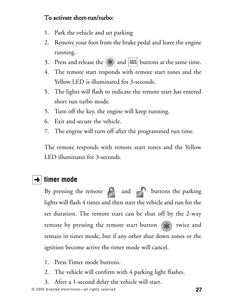### To activate short-run/turbo:

- 1. Park the vehicle and set parking
- 2. Remove your foot from the brake pedal and leave the engine running.
- 3. Press and release the  $\left|\mathbf{\ast}\right|$  and  $\left|\mathbf{\Delta}\right|$  buttons at the same time.
- 4. The remote start responds with remote start tones and the Yellow LED is illuminated for 3-seconds.
- 5. The lights will flash to indicate the remote start has entered short run turbo mode.
- 5. Turn off the key, the engine will keep running.
- 6. Exit and secure the vehicle.
- 7. The engine will turn off after the programmed run time.

The remote responds with remote start tones and the Yellow LED illuminates for 3-seconds.

# $\rightarrow$  timer mode

By pressing the remote  $\bigcap$  and  $\bigcap$  buttons the parking lights will flash 4 times and then start the vehicle and run for the set duration. The remote start can be shut off by the 2-way remote by pressing the remote start button  $(\mathbf{r})$  twice and remain in timer mode, but if any other shut down zones or the ignition become active the timer mode will cancel.

- 1. Press Timer mode buttons.
- 2. The vehicle will confirm with 4 parking light flashes.
- 3. After a 1-second delay the vehicle will start.

© 2005 directed electronics—all rights reserved **27**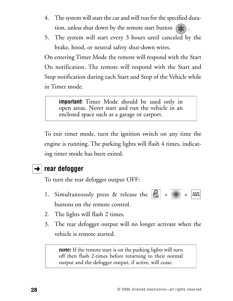- 4. The system will start the car and will run for the specified duration, unless shut down by the remote start button  $\left( \cdot \right)$ .
- 5. The system will start every 3 hours until canceled by the brake, hood, or neutral safety shut-down wires.

On entering Timer Mode the remote will respond with the Start On notification. The remote will respond with the Start and Stop notification during each Start and Stop of the Vehicle while in Timer mode.

**important**! Timer Mode should be used only in open areas. Never start and run the vehicle in an enclosed space such as a garage or carport.

To exit timer mode, turn the ignition switch on any time the engine is running. The parking lights will flash 4 times, indicating timer mode has been exited.

## $\rightarrow$  rear defogger

To turn the rear defogger output OFF:

- 1. Simultaneously press & release the  $\left|\mathbf{e}\right| + \left|\mathbf{F}\right|$ **AUX** buttons on the remote control.
- 2. The lights will flash 2 times.
- 3. The rear defogger output will no longer activate when the vehicle is remote started.

note: If the remote start is on the parking lights will turn off then flash 2-times before returning to their normal output and the defogger output, if active, will cease.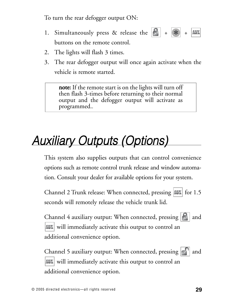To turn the rear defogger output ON:

- 1. Simultaneously press & release the  $|\cdot| + |\cdot| + |\cdot| + |\cdot|$ **AUX** buttons on the remote control.
- 2. The lights will flash 3 times.
- 3. The rear defogger output will once again activate when the vehicle is remote started.

note: If the remote start is on the lights will turn off then flash 3-times before returning to their normal output and the defogger output will activate as programmed..

# Auxiliary Outputs (Options)

This system also supplies outputs that can control convenience options such as remote control trunk release and window automation. Consult your dealer for available options for your system.

Channel 2 Trunk release: When connected, pressing  $|AUX|$  for 1.5 seconds will remotely release the vehicle trunk lid.

Channel 4 auxiliary output: When connected, pressing  $\left|\mathbf{B}\right|$  and will immediately activate this output to control an additional convenience option.

Channel 5 auxiliary output: When connected, pressing  $\left|\cdot\right|^{\eta}$  and will immediately activate this output to control an additional convenience option.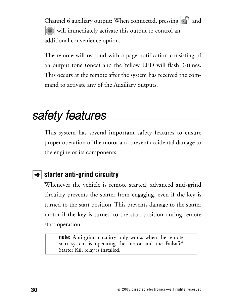Channel 6 auxiliary output: When connected, pressing  $\left|\cdot\right|^{\eta}$  and  $|\langle \rangle\!\!\!\rangle$  will immediately activate this output to control an additional convenience option.

The remote will respond with a page notification consisting of an output tone (once) and the Yellow LED will flash 3-times. This occurs at the remote after the system has received the command to activate any of the Auxiliary outputs.

# safety features

This system has several important safety features to ensure proper operation of the motor and prevent accidental damage to the engine or its components.

# **→ Starter anti-grind circuitry**

Whenever the vehicle is remote started, advanced anti-grind circuitry prevents the starter from engaging, even if the key is turned to the start position. This prevents damage to the starter motor if the key is turned to the start position during remote start operation.

**note:** Anti-grind circuitry only works when the remote start system is operating the motor and the Failsafe® Starter Kill relay is installed.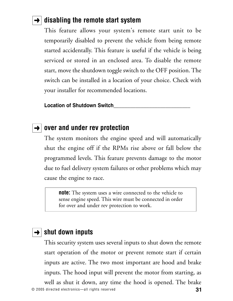### **→ disabling the remote start system**

This feature allows your system's remote start unit to be temporarily disabled to prevent the vehicle from being remote started accidentally. This feature is useful if the vehicle is being serviced or stored in an enclosed area. To disable the remote start, move the shutdown toggle switch to the OFF position. The switch can be installed in a location of your choice. Check with your installer for recommended locations.

**Location of Shutdown Switch\_\_\_\_\_\_\_\_\_\_\_\_\_\_\_\_\_\_\_\_\_\_\_\_\_\_\_\_**

### **→ over and under rev protection**

The system monitors the engine speed and will automatically shut the engine off if the RPMs rise above or fall below the programmed levels. This feature prevents damage to the motor due to fuel delivery system failures or other problems which may cause the engine to race.

**note:** The system uses a wire connected to the vehicle to sense engine speed. This wire must be connected in order for over and under rev protection to work.

### $\rightarrow$   $\mid$  shut down inputs

© 2005 directed electronics—all rights reserved **31** This security system uses several inputs to shut down the remote start operation of the motor or prevent remote start if certain inputs are active. The two most important are hood and brake inputs. The hood input will prevent the motor from starting, as well as shut it down, any time the hood is opened. The brake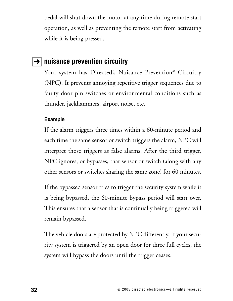pedal will shut down the motor at any time during remote start operation, as well as preventing the remote start from activating while it is being pressed.

### **→** nuisance prevention circuitry

Your system has Directed's Nuisance Prevention<sup>®</sup> Circuitry (NPC). It prevents annoying repetitive trigger sequences due to faulty door pin switches or environmental conditions such as thunder, jackhammers, airport noise, etc.

#### **Example**

If the alarm triggers three times within a 60-minute period and each time the same sensor or switch triggers the alarm, NPC will interpret those triggers as false alarms. After the third trigger, NPC ignores, or bypasses, that sensor or switch (along with any other sensors or switches sharing the same zone) for 60 minutes.

If the bypassed sensor tries to trigger the security system while it is being bypassed, the 60-minute bypass period will start over. This ensures that a sensor that is continually being triggered will remain bypassed.

The vehicle doors are protected by NPC differently. If your security system is triggered by an open door for three full cycles, the system will bypass the doors until the trigger ceases.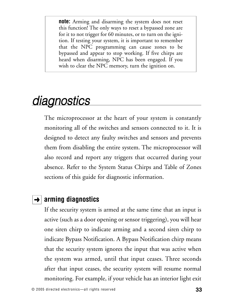**note:** Arming and disarming the system does not reset this function! The only ways to reset a bypassed zone are for it to not trigger for 60 minutes, or to turn on the ignition. If testing your system, it is important to remember that the NPC programming can cause zones to be bypassed and appear to stop working. If five chirps are heard when disarming, NPC has been engaged. If you wish to clear the NPC memory, turn the ignition on.

# **diagnostics**

The microprocessor at the heart of your system is constantly monitoring all of the switches and sensors connected to it. It is designed to detect any faulty switches and sensors and prevents them from disabling the entire system. The microprocessor will also record and report any triggers that occurred during your absence. Refer to the System Status Chirps and Table of Zones sections of this guide for diagnostic information.

### $\rightarrow$  arming diagnostics

If the security system is armed at the same time that an input is active (such as a door opening or sensor triggering), you will hear one siren chirp to indicate arming and a second siren chirp to indicate Bypass Notification. A Bypass Notification chirp means that the security system ignores the input that was active when the system was armed, until that input ceases. Three seconds after that input ceases, the security system will resume normal monitoring. For example, if your vehicle has an interior light exit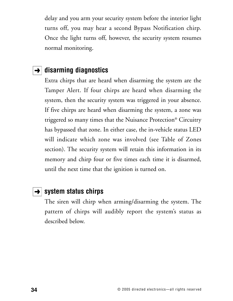delay and you arm your security system before the interior light turns off, you may hear a second Bypass Notification chirp. Once the light turns off, however, the security system resumes normal monitoring.

### $\rightarrow$  disarming diagnostics

Extra chirps that are heard when disarming the system are the Tamper Alert. If four chirps are heard when disarming the system, then the security system was triggered in your absence. If five chirps are heard when disarming the system, a zone was triggered so many times that the Nuisance Protection® Circuitry has bypassed that zone. In either case, the in-vehicle status LED will indicate which zone was involved (see Table of Zones section). The security system will retain this information in its memory and chirp four or five times each time it is disarmed, until the next time that the ignition is turned on.

### **→ System status chirps**

The siren will chirp when arming/disarming the system. The pattern of chirps will audibly report the system's status as described below.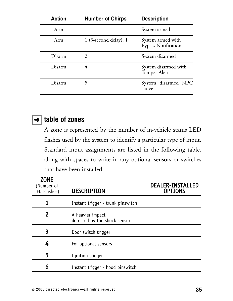| <b>Action</b> | <b>Number of Chirps</b> | <b>Description</b>                              |
|---------------|-------------------------|-------------------------------------------------|
| Arm           |                         | System armed                                    |
| Arm           | $1$ (3-second delay), 1 | System armed with<br><b>Bypass Notification</b> |
| Disarm        | $\mathcal{D}$           | System disarmed                                 |
| Disarm        |                         | System disarmed with<br>Tamper Alert            |
| Disarm        |                         | System disarmed NPC<br>active                   |

### **table of zones** ➜

A zone is represented by the number of in-vehicle status LED flashes used by the system to identify a particular type of input. Standard input assignments are listed in the following table, along with spaces to write in any optional sensors or switches that have been installed.

| <b>ZONE</b><br>(Number of<br>LED Flashes) | <b>DESCRIPTION</b>                               | <b>DEALER-INSTALLED</b><br><b>OPTIONS</b> |
|-------------------------------------------|--------------------------------------------------|-------------------------------------------|
|                                           | Instant trigger - trunk pinswitch                |                                           |
| 2                                         | A heavier impact<br>detected by the shock sensor |                                           |
| 3                                         | Door switch trigger                              |                                           |
| 4                                         | For optional sensors                             |                                           |
| 5                                         | Ignition trigger                                 |                                           |
| 6                                         | Instant trigger - hood pinswitch                 |                                           |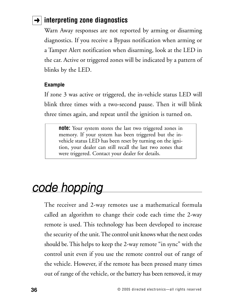# **→ interpreting zone diagnostics**

Warn Away responses are not reported by arming or disarming diagnostics. If you receive a Bypass notification when arming or a Tamper Alert notification when disarming, look at the LED in the car. Active or triggered zones will be indicated by a pattern of blinks by the LED.

#### **Example**

If zone 3 was active or triggered, the in-vehicle status LED will blink three times with a two-second pause. Then it will blink three times again, and repeat until the ignition is turned on.

**note:** Your system stores the last two triggered zones in memory. If your system has been triggered but the invehicle status LED has been reset by turning on the ignition, your dealer can still recall the last two zones that were triggered. Contact your dealer for details.

# code hopping

The receiver and 2-way remotes use a mathematical formula called an algorithm to change their code each time the 2-way remote is used. This technology has been developed to increase the security of the unit. The control unit knows what the next codes should be. This helps to keep the 2-way remote "in sync" with the control unit even if you use the remote control out of range of the vehicle. However, if the remote has been pressed many times out of range of the vehicle, or the battery has been removed, it may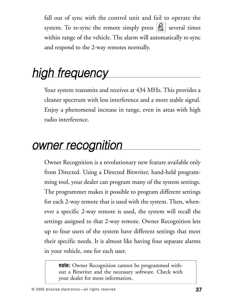fall out of sync with the control unit and fail to operate the system. To re-sync the remote simply press  $|\mathbf{S}|$  several times within range of the vehicle. The alarm will automatically re-sync and respond to the 2-way remotes normally.

# high frequency

Your system transmits and receives at 434 MHz. This provides a cleaner spectrum with less interference and a more stable signal. Enjoy a phenomenal increase in range, even in areas with high radio interference.

# owner recognition

Owner Recognition is a revolutionary new feature available only from Directed. Using a Directed Bitwriter, hand-held programming tool, your dealer can program many of the system settings. The programmer makes it possible to program different settings for each 2-way remote that is used with the system. Then, whenever a specific 2-way remote is used, the system will recall the settings assigned to that 2-way remote. Owner Recognition lets up to four users of the system have different settings that meet their specific needs. It is almost like having four separate alarms in your vehicle, one for each user.

**note:** Owner Recognition cannot be programmed without a Bitwriter and the necessary software. Check with your dealer for more information.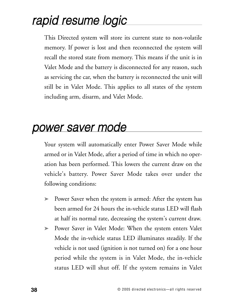# rapid resume logic

This Directed system will store its current state to non-volatile memory. If power is lost and then reconnected the system will recall the stored state from memory. This means if the unit is in Valet Mode and the battery is disconnected for any reason, such as servicing the car, when the battery is reconnected the unit will still be in Valet Mode. This applies to all states of the system including arm, disarm, and Valet Mode.

# power saver mode

Your system will automatically enter Power Saver Mode while armed or in Valet Mode, after a period of time in which no operation has been performed. This lowers the current draw on the vehicle's battery. Power Saver Mode takes over under the following conditions:

- ➤ Power Saver when the system is armed: After the system has been armed for 24 hours the in-vehicle status LED will flash at half its normal rate, decreasing the system's current draw.
- ➤ Power Saver in Valet Mode: When the system enters Valet Mode the in-vehicle status LED illuminates steadily. If the vehicle is not used (ignition is not turned on) for a one hour period while the system is in Valet Mode, the in-vehicle status LED will shut off. If the system remains in Valet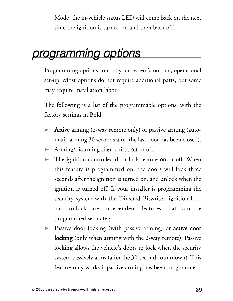Mode, the in-vehicle status LED will come back on the next time the ignition is turned on and then back off.

# programming options

Programming options control your system's normal, operational set-up. Most options do not require additional parts, but some may require installation labor.

The following is a list of the programmable options, with the factory settings in Bold.

- ➤ Active arming (2-way remote only) or passive arming (automatic arming 30 seconds after the last door has been closed).
- ► Arming/disarming siren chirps on or off.
- ► The ignition controlled door lock feature on or off: When this feature is programmed on, the doors will lock three seconds after the ignition is turned on, and unlock when the ignition is turned off. If your installer is programming the security system with the Directed Bitwriter, ignition lock and unlock are independent features that can be programmed separately.
- ► Passive door locking (with passive arming) or **active door** locking (only when arming with the 2-way remote). Passive locking allows the vehicle's doors to lock when the security system passively arms (after the 30-second countdown). This feature only works if passive arming has been programmed.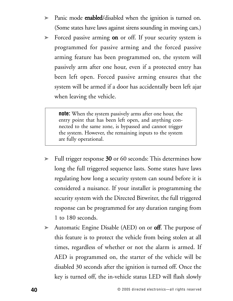- ► Panic mode **enabled**/disabled when the ignition is turned on. (Some states have laws against sirens sounding in moving cars.)
- ► Forced passive arming on or off. If your security system is programmed for passive arming and the forced passive arming feature has been programmed on, the system will passively arm after one hour, even if a protected entry has been left open. Forced passive arming ensures that the system will be armed if a door has accidentally been left ajar when leaving the vehicle.

**note:** When the system passively arms after one hour, the entry point that has been left open, and anything connected to the same zone, is bypassed and cannot trigger the system. However, the remaining inputs to the system are fully operational.

- ➤ Full trigger response 30 or 60 seconds: This determines how long the full triggered sequence lasts. Some states have laws regulating how long a security system can sound before it is considered a nuisance. If your installer is programming the security system with the Directed Bitwriter, the full triggered response can be programmed for any duration ranging from 1 to 180 seconds.
- ► Automatic Engine Disable (AED) on or **off**. The purpose of this feature is to protect the vehicle from being stolen at all times, regardless of whether or not the alarm is armed. If AED is programmed on, the starter of the vehicle will be disabled 30 seconds after the ignition is turned off. Once the key is turned off, the in-vehicle status LED will flash slowly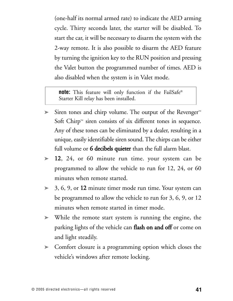(one-half its normal armed rate) to indicate the AED arming cycle. Thirty seconds later, the starter will be disabled. To start the car, it will be necessary to disarm the system with the 2-way remote. It is also possible to disarm the AED feature by turning the ignition key to the RUN position and pressing the Valet button the programmed number of times. AED is also disabled when the system is in Valet mode.

**note:** This feature will only function if the FailSafe® Starter Kill relay has been installed.

- ➤ Siren tones and chirp volume. The output of the Revenger™ Soft Chirp<sup> $m$ </sup> siren consists of six different tones in sequence. Any of these tones can be eliminated by a dealer, resulting in a unique, easily identifiable siren sound. The chirps can be either full volume or **6 decibels quieter** than the full alarm blast.
- ➤ 12, 24, or 60 minute run time. your system can be programmed to allow the vehicle to run for 12, 24, or 60 minutes when remote started.
- ➤ 3, 6, 9, or 12 minute timer mode run time. Your system can be programmed to allow the vehicle to run for 3, 6, 9, or 12 minutes when remote started in timer mode.
- ➤ While the remote start system is running the engine, the parking lights of the vehicle can flash on and off or come on and light steadily.
- ➤ Comfort closure is a programming option which closes the vehicle's windows after remote locking.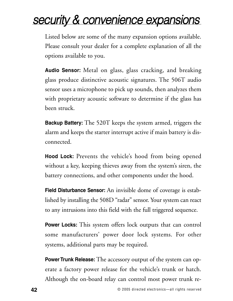# security & convenience expansions

Listed below are some of the many expansion options available. Please consult your dealer for a complete explanation of all the options available to you.

**Audio Sensor:** Metal on glass, glass cracking, and breaking glass produce distinctive acoustic signatures. The 506T audio sensor uses a microphone to pick up sounds, then analyzes them with proprietary acoustic software to determine if the glass has been struck.

**Backup Battery:** The 520T keeps the system armed, triggers the alarm and keeps the starter interrupt active if main battery is disconnected.

**Hood Lock:** Prevents the vehicle's hood from being opened without a key, keeping thieves away from the system's siren, the battery connections, and other components under the hood.

**Field Disturbance Sensor:** An invisible dome of coverage is established by installing the 508D "radar" sensor. Your system can react to any intrusions into this field with the full triggered sequence.

**Power Locks:** This system offers lock outputs that can control some manufacturers' power door lock systems. For other systems, additional parts may be required.

**Power Trunk Release:** The accessory output of the system can operate a factory power release for the vehicle's trunk or hatch. Although the on-board relay can control most power trunk re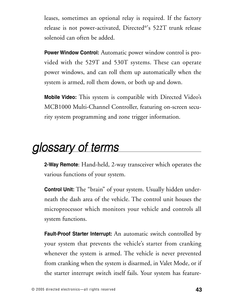leases, sometimes an optional relay is required. If the factory release is not power-activated, Directed®'s 522T trunk release solenoid can often be added.

**Power Window Control:** Automatic power window control is provided with the 529T and 530T systems. These can operate power windows, and can roll them up automatically when the system is armed, roll them down, or both up and down.

**Mobile Video:** This system is compatible with Directed Video's MCB1000 Multi-Channel Controller, featuring on-screen security system programming and zone trigger information.

# glossary of terms

**2-Way Remote**: Hand-held, 2-way transceiver which operates the various functions of your system.

**Control Unit:** The "brain" of your system. Usually hidden underneath the dash area of the vehicle. The control unit houses the microprocessor which monitors your vehicle and controls all system functions.

**Fault-Proof Starter Interrupt:** An automatic switch controlled by your system that prevents the vehicle's starter from cranking whenever the system is armed. The vehicle is never prevented from cranking when the system is disarmed, in Valet Mode, or if the starter interrupt switch itself fails. Your system has feature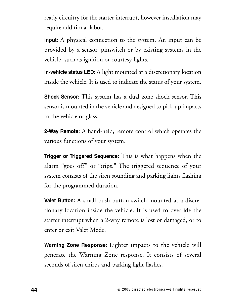ready circuitry for the starter interrupt, however installation may require additional labor.

**Input:** A physical connection to the system. An input can be provided by a sensor, pinswitch or by existing systems in the vehicle, such as ignition or courtesy lights.

**In-vehicle status LED:** A light mounted at a discretionary location inside the vehicle. It is used to indicate the status of your system.

**Shock Sensor:** This system has a dual zone shock sensor. This sensor is mounted in the vehicle and designed to pick up impacts to the vehicle or glass.

**2-Way Remote:** A hand-held, remote control which operates the various functions of your system.

**Trigger or Triggered Sequence:** This is what happens when the alarm "goes off" or "trips." The triggered sequence of your system consists of the siren sounding and parking lights flashing for the programmed duration.

**Valet Button:** A small push button switch mounted at a discretionary location inside the vehicle. It is used to override the starter interrupt when a 2-way remote is lost or damaged, or to enter or exit Valet Mode.

**Warning Zone Response:** Lighter impacts to the vehicle will generate the Warning Zone response. It consists of several seconds of siren chirps and parking light flashes.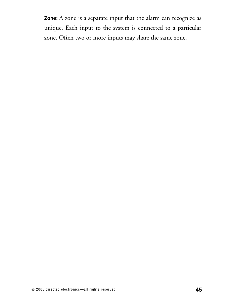**Zone:** A zone is a separate input that the alarm can recognize as unique. Each input to the system is connected to a particular zone. Often two or more inputs may share the same zone.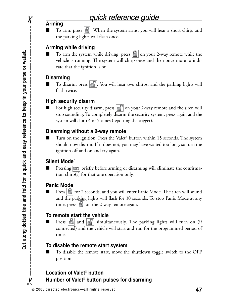#### **Arming**

 $\chi$ 

■ To arm, press  $\boxed{\color{blue} \bullet}$ . When the system arms, you will hear a short chirp, and the parking lights will flash once.

#### **Arming while driving**

To arm the system while driving, press  $\|\cdot\|$  on your 2-way remote while the vehicle is running. The system will chirp once and then once more to indicate that the ignition is on.

#### **Disarming**

To disarm, press  $\lVert \cdot \rVert$ . You will hear two chirps, and the parking lights will flash twice.

#### **High security disarm**

For high security disarm, press  $\left| \cdot \right|$  on your 2-way remote and the siren will stop sounding. To completely disarm the security system, press again and the system will chirp 4 or 5 times (reporting the trigger).

#### **Disarming without a 2-way remote**

Turn on the ignition. Press the Valet<sup>®</sup> button within 15 seconds. The system should now disarm. If it does not, you may have waited too long, so turn the ignition off and on and try again.

#### **Silent Mode**™

Pressing **AUX** briefly before arming or disarming will eliminate the confirmation chirp(s) for that one operation only.

#### **Panic Mode**

■ Press **F** for 2 seconds, and you will enter Panic Mode. The siren will sound and the parking lights will flash for 30 seconds. To stop Panic Mode at any time, press  $\left| \cdot \right|$  on the 2-way remote again.

#### **To remote start the vehicle**

Press  $|\cdot|$  and  $|\cdot|$  simultaneously. The parking lights will turn on (if connected) and the vehicle will start and run for the programmed period of time.

#### **To disable the remote start system**

■ To disable the remote start, move the shutdown toggle switch to the OFF position.

#### **Location of Valet® button\_\_\_\_\_\_\_\_\_\_\_\_\_\_\_\_\_\_\_\_\_\_\_\_\_\_\_\_\_\_\_\_\_**

**Number of Valet® button pulses for disarming\_\_\_\_\_\_\_\_\_\_\_\_\_\_\_**

 $\chi$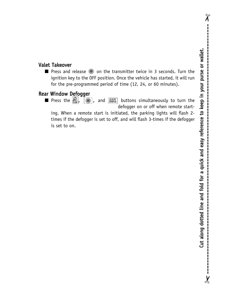$\chi$ 

 $\overline{\mathbf{y}}$ 

#### Valet Takeover

■ Press and release <sup>3</sup> on the transmitter twice in 3 seconds. Turn the ignition key to the OFF position. Once the vehicle has started, it will run for the pre-programmed period of time (12, 24, or 60 minutes).

#### Rear Window Defogger

**■** Press the  $\begin{bmatrix} 0 \\ 1 \end{bmatrix}$ , and  $\begin{bmatrix} 1 \\ 0 \end{bmatrix}$  buttons simultaneously to turn the defogger on or off when remote start-

ing. When a remote start is initiated, the parking lights will flash 2 times if the defogger is set to off, and will flash 3-times if the defogger is set to on.